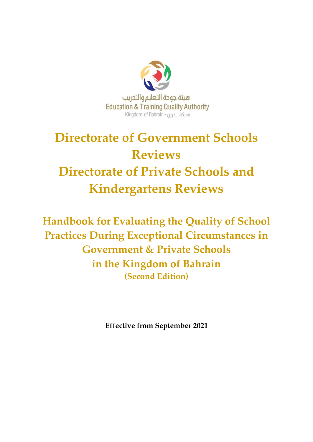

# **Directorate of Government Schools Reviews Directorate of Private Schools and Kindergartens Reviews**

**Handbook for Evaluating the Quality of School Practices During Exceptional Circumstances in Government & Private Schools in the Kingdom of Bahrain (Second Edition)**

**Effective from September 2021**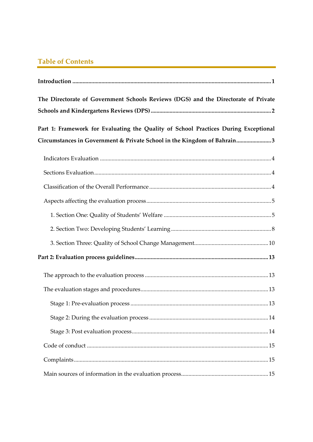# **Table of Contents**

| The Directorate of Government Schools Reviews (DGS) and the Directorate of Private  |  |  |  |  |
|-------------------------------------------------------------------------------------|--|--|--|--|
| Part 1: Framework for Evaluating the Quality of School Practices During Exceptional |  |  |  |  |
| Circumstances in Government & Private School in the Kingdom of Bahrain3             |  |  |  |  |
|                                                                                     |  |  |  |  |
|                                                                                     |  |  |  |  |
|                                                                                     |  |  |  |  |
|                                                                                     |  |  |  |  |
|                                                                                     |  |  |  |  |
|                                                                                     |  |  |  |  |
|                                                                                     |  |  |  |  |
|                                                                                     |  |  |  |  |
|                                                                                     |  |  |  |  |
|                                                                                     |  |  |  |  |
|                                                                                     |  |  |  |  |
|                                                                                     |  |  |  |  |
|                                                                                     |  |  |  |  |
|                                                                                     |  |  |  |  |
|                                                                                     |  |  |  |  |
|                                                                                     |  |  |  |  |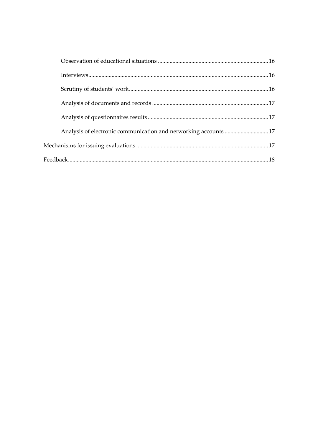| Analysis of electronic communication and networking accounts 17 |  |
|-----------------------------------------------------------------|--|
|                                                                 |  |
|                                                                 |  |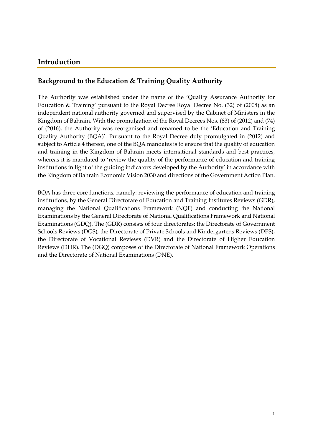## <span id="page-3-0"></span>**Introduction**

## **Background to the Education & Training Quality Authority**

The Authority was established under the name of the 'Quality Assurance Authority for Education & Training' pursuant to the Royal Decree Royal Decree No. (32) of (2008) as an independent national authority governed and supervised by the Cabinet of Ministers in the Kingdom of Bahrain. With the promulgation of the Royal Decrees Nos. (83) of (2012) and (74) of (2016), the Authority was reorganised and renamed to be the 'Education and Training Quality Authority (BQA)'. Pursuant to the Royal Decree duly promulgated in (2012) and subject to Article 4 thereof, one of the BQA mandates is to ensure that the quality of education and training in the Kingdom of Bahrain meets international standards and best practices, whereas it is mandated to 'review the quality of the performance of education and training institutions in light of the guiding indicators developed by the Authority' in accordance with the Kingdom of Bahrain Economic Vision 2030 and directions of the Government Action Plan.

BQA has three core functions, namely: reviewing the performance of education and training institutions, by the General Directorate of Education and Training Institutes Reviews (GDR), managing the National Qualifications Framework (NQF) and conducting the National Examinations by the General Directorate of National Qualifications Framework and National Examinations (GDQ). The (GDR) consists of four directorates: the Directorate of Government Schools Reviews (DGS), the Directorate of Private Schools and Kindergartens Reviews (DPS), the Directorate of Vocational Reviews (DVR) and the Directorate of Higher Education Reviews (DHR). The (DGQ) composes of the Directorate of National Framework Operations and the Directorate of National Examinations (DNE).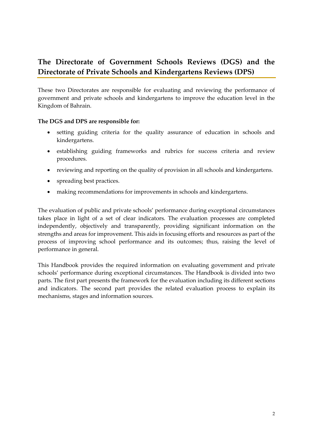# <span id="page-4-0"></span>**The Directorate of Government Schools Reviews (DGS) and the Directorate of Private Schools and Kindergartens Reviews (DPS)**

These two Directorates are responsible for evaluating and reviewing the performance of government and private schools and kindergartens to improve the education level in the Kingdom of Bahrain.

#### **The DGS and DPS are responsible for:**

- setting guiding criteria for the quality assurance of education in schools and kindergartens.
- establishing guiding frameworks and rubrics for success criteria and review procedures.
- reviewing and reporting on the quality of provision in all schools and kindergartens.
- spreading best practices.
- making recommendations for improvements in schools and kindergartens.

The evaluation of public and private schools' performance during exceptional circumstances takes place in light of a set of clear indicators. The evaluation processes are completed independently, objectively and transparently, providing significant information on the strengths and areas for improvement. This aids in focusing efforts and resources as part of the process of improving school performance and its outcomes; thus, raising the level of performance in general.

This Handbook provides the required information on evaluating government and private schools' performance during exceptional circumstances. The Handbook is divided into two parts. The first part presents the framework for the evaluation including its different sections and indicators. The second part provides the related evaluation process to explain its mechanisms, stages and information sources.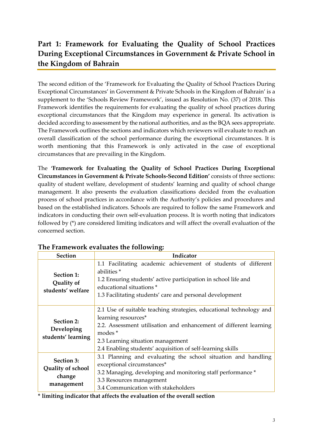# <span id="page-5-0"></span>**Part 1: Framework for Evaluating the Quality of School Practices During Exceptional Circumstances in Government & Private School in the Kingdom of Bahrain**

The second edition of the 'Framework for Evaluating the Quality of School Practices During Exceptional Circumstances' in Government & Private Schools in the Kingdom of Bahrain' is a supplement to the 'Schools Review Framework', issued as Resolution No. (37) of 2018. This Framework identifies the requirements for evaluating the quality of school practices during exceptional circumstances that the Kingdom may experience in general. Its activation is decided according to assessment by the national authorities, and as the BQA sees appropriate. The Framework outlines the sections and indicators which reviewers will evaluate to reach an overall classification of the school performance during the exceptional circumstances. It is worth mentioning that this Framework is only activated in the case of exceptional circumstances that are prevailing in the Kingdom.

The **'Framework for Evaluating the Quality of School Practices During Exceptional Circumstances in Government & Private Schools-Second Edition'** consists of three sections: quality of student welfare, development of students' learning and quality of school change management. It also presents the evaluation classifications decided from the evaluation process of school practices in accordance with the Authority's policies and procedures and based on the established indicators. Schools are required to follow the same Framework and indicators in conducting their own self-evaluation process. It is worth noting that indicators followed by (\*) are considered limiting indicators and will affect the overall evaluation of the concerned section.

| <b>Section</b>                                          | Indicator                                                                                                                                                                                                                                                                                |
|---------------------------------------------------------|------------------------------------------------------------------------------------------------------------------------------------------------------------------------------------------------------------------------------------------------------------------------------------------|
| Section 1:<br>Quality of<br>students' welfare           | 1.1 Facilitating academic achievement of students of different<br>abilities <sup>*</sup><br>1.2 Ensuring students' active participation in school life and<br>educational situations *<br>1.3 Facilitating students' care and personal development                                       |
| <b>Section 2:</b><br>Developing<br>students' learning   | 2.1 Use of suitable teaching strategies, educational technology and<br>learning resources*<br>2.2. Assessment utilisation and enhancement of different learning<br>modes <sup>*</sup><br>2.3 Learning situation management<br>2.4 Enabling students' acquisition of self-learning skills |
| Section 3:<br>Quality of school<br>change<br>management | 3.1 Planning and evaluating the school situation and handling<br>exceptional circumstances*<br>3.2 Managing, developing and monitoring staff performance *<br>3.3 Resources management<br>3.4 Communication with stakeholders                                                            |

## **The Framework evaluates the following:**

**\* limiting indicator that affects the evaluation of the overall section**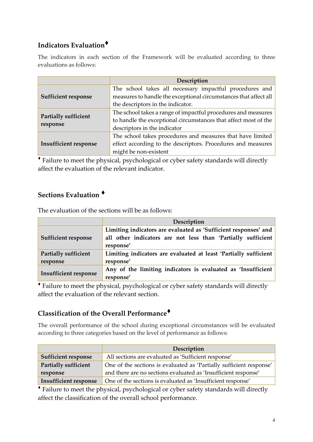# <span id="page-6-0"></span>**Indicators Evaluation**♦

The indicators in each section of the Framework will be evaluated according to three evaluations as follows:

|                                  | Description                                                                                                                                                      |
|----------------------------------|------------------------------------------------------------------------------------------------------------------------------------------------------------------|
| <b>Sufficient response</b>       | The school takes all necessary impactful procedures and<br>measures to handle the exceptional circumstances that affect all<br>the descriptors in the indicator. |
| Partially sufficient<br>response | The school takes a range of impactful procedures and measures<br>to handle the exceptional circumstances that affect most of the<br>descriptors in the indicator |
| <b>Insufficient response</b>     | The school takes procedures and measures that have limited<br>effect according to the descriptors. Procedures and measures<br>might be non-existent              |

♦ Failure to meet the physical, psychological or cyber safety standards will directly affect the evaluation of the relevant indicator.

# <span id="page-6-1"></span>**Sections Evaluation** ♦

The evaluation of the sections will be as follows:

|                              | Description                                                      |
|------------------------------|------------------------------------------------------------------|
|                              | Limiting indicators are evaluated as 'Sufficient responses' and  |
| <b>Sufficient response</b>   | all other indicators are not less than 'Partially sufficient     |
|                              | response'                                                        |
| <b>Partially sufficient</b>  | Limiting indicators are evaluated at least 'Partially sufficient |
| response                     | response'                                                        |
|                              | Any of the limiting indicators is evaluated as 'Insufficient     |
| <b>Insufficient response</b> | response'                                                        |

♦ Failure to meet the physical, psychological or cyber safety standards will directly affect the evaluation of the relevant section.

## <span id="page-6-2"></span>**Classification of the Overall Performance**♦

The overall performance of the school during exceptional circumstances will be evaluated according to three categories based on the level of performance as follows:

|                             | Description                                                         |
|-----------------------------|---------------------------------------------------------------------|
| <b>Sufficient response</b>  | All sections are evaluated as 'Sufficient response'                 |
| <b>Partially sufficient</b> | One of the sections is evaluated as 'Partially sufficient response' |
| response                    | and there are no sections evaluated as 'Insufficient response'      |
| Insufficient response       | One of the sections is evaluated as 'Insufficient response'         |

♦ Failure to meet the physical, psychological or cyber safety standards will directly affect the classification of the overall school performance.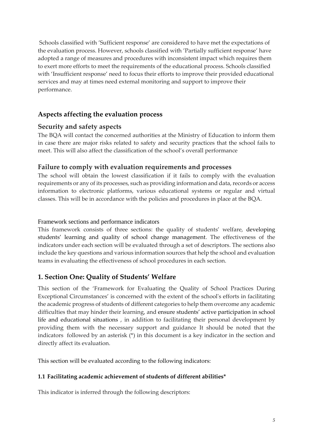Schools classified with 'Sufficient response' are considered to have met the expectations of the evaluation process. However, schools classified with 'Partially sufficient response' have adopted a range of measures and procedures with inconsistent impact which requires them to exert more efforts to meet the requirements of the educational process. Schools classified with 'Insufficient response' need to focus their efforts to improve their provided educational services and may at times need external monitoring and support to improve their performance.

## <span id="page-7-0"></span>**Aspects affecting the evaluation process**

#### **Security and safety aspects**

The BQA will contact the concerned authorities at the Ministry of Education to inform them in case there are major risks related to safety and security practices that the school fails to meet. This will also affect the classification of the school's overall performance

#### **Failure to comply with evaluation requirements and processes**

The school will obtain the lowest classification if it fails to comply with the evaluation requirements or any of its processes, such as providing information and data, records or access information to electronic platforms, various educational systems or regular and virtual classes. This will be in accordance with the policies and procedures in place at the BQA.

#### Framework sections and performance indicators

This framework consists of three sections: the quality of students' welfare, developing students' learning and quality of school change management. The effectiveness of the indicators under each section will be evaluated through a set of descriptors. The sections also include the key questions and various information sources that help the school and evaluation teams in evaluating the effectiveness of school procedures in each section.

## <span id="page-7-1"></span>**1. Section One: Quality of Students' Welfare**

This section of the 'Framework for Evaluating the Quality of School Practices During Exceptional Circumstances' is concerned with the extent of the school's efforts in facilitating the academic progress of students of different categories to help them overcome any academic difficulties that may hinder their learning, and ensure students' active participation in school life and educational situations , in addition to facilitating their personal development by providing them with the necessary support and guidance It should be noted that the indicators followed by an asterisk (\*) in this document is a key indicator in the section and directly affect its evaluation.

This section will be evaluated according to the following indicators:

#### **1.1 Facilitating academic achievement of students of different abilities\***

This indicator is inferred through the following descriptors: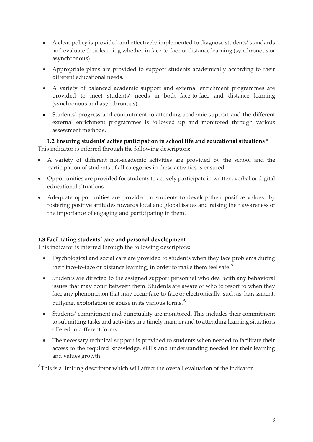- A clear policy is provided and effectively implemented to diagnose students' standards and evaluate their learning whether in face-to-face or distance learning (synchronous or asynchronous).
- Appropriate plans are provided to support students academically according to their different educational needs.
- A variety of balanced academic support and external enrichment programmes are provided to meet students' needs in both face-to-face and distance learning (synchronous and asynchronous).
- Students' progress and commitment to attending academic support and the different external enrichment programmes is followed up and monitored through various assessment methods.

**1.2 Ensuring students' active participation in school life and educational situations \***  This indicator is inferred through the following descriptors:

- A variety of different non-academic activities are provided by the school and the participation of students of all categories in these activities is ensured.
- Opportunities are provided for students to actively participate in written, verbal or digital educational situations.
- Adequate opportunities are provided to students to develop their positive values by fostering positive attitudes towards local and global issues and raising their awareness of the importance of engaging and participating in them.

#### **1.3 Facilitating students' care and personal development**

This indicator is inferred through the following descriptors:

- Psychological and social care are provided to students when they face problems during their face-to-face or distance learning, in order to make them feel safe. $^{\Delta}$
- Students are directed to the assigned support personnel who deal with any behavioral issues that may occur between them. Students are aware of who to resort to when they face any phenomenon that may occur face-to-face or electronically, such as: harassment, bullying, exploitation or abuse in its various forms. $^\Delta$
- Students' commitment and punctuality are monitored. This includes their commitment to submitting tasks and activities in a timely manner and to attending learning situations offered in different forms.
- The necessary technical support is provided to students when needed to facilitate their access to the required knowledge, skills and understanding needed for their learning and values growth

 $\Delta$ This is a limiting descriptor which will affect the overall evaluation of the indicator.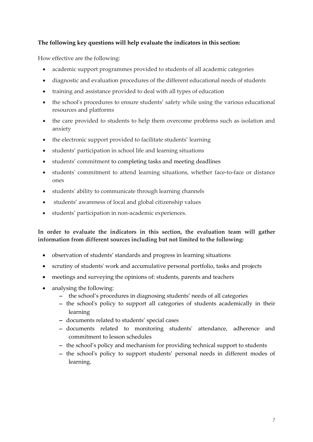#### **The following key questions will help evaluate the indicators in this section:**

How effective are the following:

- academic support programmes provided to students of all academic categories
- diagnostic and evaluation procedures of the different educational needs of students
- training and assistance provided to deal with all types of education
- the school's procedures to ensure students' safety while using the various educational resources and platforms
- the care provided to students to help them overcome problems such as isolation and anxiety
- the electronic support provided to facilitate students' learning
- students' participation in school life and learning situations
- students' commitment to completing tasks and meeting deadlines
- students' commitment to attend learning situations, whether face-to-face or distance ones
- students' ability to communicate through learning channels
- students' awareness of local and global citizenship values
- students' participation in non-academic experiences.

## **In order to evaluate the indicators in this section, the evaluation team will gather information from different sources including but not limited to the following:**

- observation of students' standards and progress in learning situations
- scrutiny of students' work and accumulative personal portfolio, tasks and projects
- meetings and surveying the opinions of: students, parents and teachers
- analysing the following:
	- − the school's procedures in diagnosing students' needs of all categories
	- − the school's policy to support all categories of students academically in their learning
	- − documents related to students' special cases
	- − documents related to monitoring students' attendance, adherence and commitment to lesson schedules
	- − the school's policy and mechanism for providing technical support to students
	- − the school's policy to support students' personal needs in different modes of learning.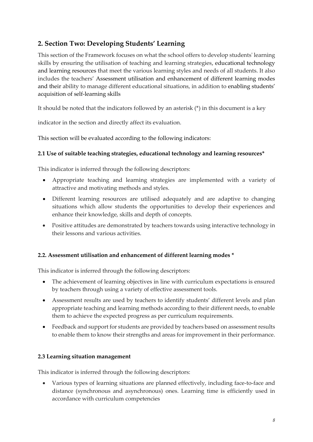## <span id="page-10-0"></span>**2. Section Two: Developing Students' Learning**

This section of the Framework focuses on what the school offers to develop students' learning skills by ensuring the utilisation of teaching and learning strategies, educational technology and learning resources that meet the various learning styles and needs of all students. It also includes the teachers' Assessment utilisation and enhancement of different learning modes and their ability to manage different educational situations, in addition to enabling students' acquisition of self-learning skills

It should be noted that the indicators followed by an asterisk (\*) in this document is a key

indicator in the section and directly affect its evaluation.

This section will be evaluated according to the following indicators:

## **2.1 Use of suitable teaching strategies, educational technology and learning resources\***

This indicator is inferred through the following descriptors:

- Appropriate teaching and learning strategies are implemented with a variety of attractive and motivating methods and styles.
- Different learning resources are utilised adequately and are adaptive to changing situations which allow students the opportunities to develop their experiences and enhance their knowledge, skills and depth of concepts.
- Positive attitudes are demonstrated by teachers towards using interactive technology in their lessons and various activities.

## **2.2. Assessment utilisation and enhancement of different learning modes \***

This indicator is inferred through the following descriptors:

- The achievement of learning objectives in line with curriculum expectations is ensured by teachers through using a variety of effective assessment tools.
- Assessment results are used by teachers to identify students' different levels and plan appropriate teaching and learning methods according to their different needs, to enable them to achieve the expected progress as per curriculum requirements.
- Feedback and support for students are provided by teachers based on assessment results to enable them to know their strengths and areas for improvement in their performance.

#### **2.3 Learning situation management**

This indicator is inferred through the following descriptors:

• Various types of learning situations are planned effectively, including face-to-face and distance (synchronous and asynchronous) ones. Learning time is efficiently used in accordance with curriculum competencies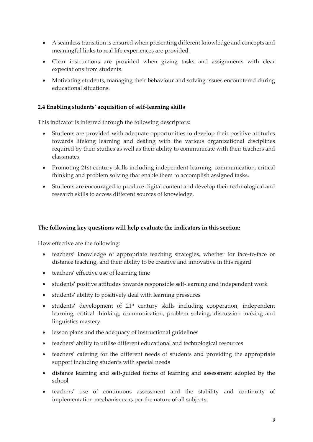- A seamless transition is ensured when presenting different knowledge and concepts and meaningful links to real life experiences are provided.
- Clear instructions are provided when giving tasks and assignments with clear expectations from students.
- Motivating students, managing their behaviour and solving issues encountered during educational situations.

#### **2.4 Enabling students' acquisition of self-learning skills**

This indicator is inferred through the following descriptors:

- Students are provided with adequate opportunities to develop their positive attitudes towards lifelong learning and dealing with the various organizational disciplines required by their studies as well as their ability to communicate with their teachers and classmates.
- Promoting 21st century skills including independent learning, communication, critical thinking and problem solving that enable them to accomplish assigned tasks.
- Students are encouraged to produce digital content and develop their technological and research skills to access different sources of knowledge.

#### **The following key questions will help evaluate the indicators in this section:**

How effective are the following:

- teachers' knowledge of appropriate teaching strategies, whether for face-to-face or distance teaching, and their ability to be creative and innovative in this regard
- teachers' effective use of learning time
- students' positive attitudes towards responsible self-learning and independent work
- students' ability to positively deal with learning pressures
- students' development of 21st century skills including cooperation, independent learning, critical thinking, communication, problem solving, discussion making and linguistics mastery.
- lesson plans and the adequacy of instructional guidelines
- teachers' ability to utilise different educational and technological resources
- teachers' catering for the different needs of students and providing the appropriate support including students with special needs
- distance learning and self-guided forms of learning and assessment adopted by the school
- teachers' use of continuous assessment and the stability and continuity of implementation mechanisms as per the nature of all subjects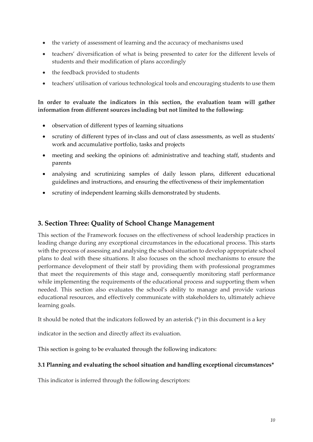- the variety of assessment of learning and the accuracy of mechanisms used
- teachers' diversification of what is being presented to cater for the different levels of students and their modification of plans accordingly
- the feedback provided to students
- teachers' utilisation of various technological tools and encouraging students to use them

#### **In order to evaluate the indicators in this section, the evaluation team will gather information from different sources including but not limited to the following:**

- observation of different types of learning situations
- scrutiny of different types of in-class and out of class assessments, as well as students' work and accumulative portfolio, tasks and projects
- meeting and seeking the opinions of: administrative and teaching staff, students and parents
- analysing and scrutinizing samples of daily lesson plans, different educational guidelines and instructions, and ensuring the effectiveness of their implementation
- scrutiny of independent learning skills demonstrated by students.

## <span id="page-12-0"></span>**3. Section Three: Quality of School Change Management**

This section of the Framework focuses on the effectiveness of school leadership practices in leading change during any exceptional circumstances in the educational process. This starts with the process of assessing and analysing the school situation to develop appropriate school plans to deal with these situations. It also focuses on the school mechanisms to ensure the performance development of their staff by providing them with professional programmes that meet the requirements of this stage and, consequently monitoring staff performance while implementing the requirements of the educational process and supporting them when needed. This section also evaluates the school's ability to manage and provide various educational resources, and effectively communicate with stakeholders to, ultimately achieve learning goals.

It should be noted that the indicators followed by an asterisk (\*) in this document is a key

indicator in the section and directly affect its evaluation.

This section is going to be evaluated through the following indicators:

#### **3.1 Planning and evaluating the school situation and handling exceptional circumstances\***

This indicator is inferred through the following descriptors: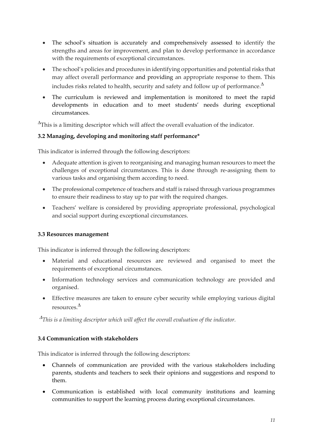- The school's situation is accurately and comprehensively assessed to identify the strengths and areas for improvement, and plan to develop performance in accordance with the requirements of exceptional circumstances.
- The school's policies and procedures in identifying opportunities and potential risks that may affect overall performance and providing an appropriate response to them. This includes risks related to health, security and safety and follow up of performance. $^\Delta$
- The curriculum is reviewed and implementation is monitored to meet the rapid developments in education and to meet students' needs during exceptional circumstances.

 $\Delta$ This is a limiting descriptor which will affect the overall evaluation of the indicator.

#### **3.2 Managing, developing and monitoring staff performance\***

This indicator is inferred through the following descriptors:

- Adequate attention is given to reorganising and managing human resources to meet the challenges of exceptional circumstances. This is done through re-assigning them to various tasks and organising them according to need.
- The professional competence of teachers and staff is raised through various programmes to ensure their readiness to stay up to par with the required changes.
- Teachers' welfare is considered by providing appropriate professional, psychological and social support during exceptional circumstances.

#### **3.3 Resources management**

This indicator is inferred through the following descriptors:

- Material and educational resources are reviewed and organised to meet the requirements of exceptional circumstances.
- Information technology services and communication technology are provided and organised.
- Effective measures are taken to ensure cyber security while employing various digital resources.

*This is a limiting descriptor which will affect the overall evaluation of the indicator.* 

#### **3.4 Communication with stakeholders**

This indicator is inferred through the following descriptors:

- Channels of communication are provided with the various stakeholders including parents, students and teachers to seek their opinions and suggestions and respond to them.
- Communication is established with local community institutions and learning communities to support the learning process during exceptional circumstances.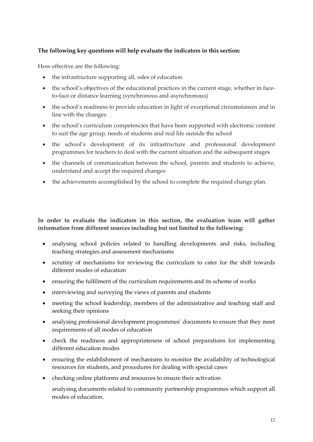#### **The following key questions will help evaluate the indicators in this section:**

How effective are the following:

- the infrastructure supporting all, odes of education
- the school's objectives of the educational practices in the current stage, whether in faceto-face or distance learning (synchronous and asynchronous)
- the school's readiness to provide education in light of exceptional circumstances and in line with the changes
- the school's curriculum competencies that have been supported with electronic content to suit the age group, needs of students and real life outside the school
- the school's development of its infrastructure and professional development programmes for teachers to deal with the current situation and the subsequent stages
- the channels of communication between the school, parents and students to achieve, understand and accept the required changes
- the achievements accomplished by the school to complete the required change plan.

#### **In order to evaluate the indicators in this section, the evaluation team will gather information from different sources including but not limited to the following:**

- analysing school policies related to handling developments and risks, including teaching strategies and assessment mechanisms
- scrutiny of mechanisms for reviewing the curriculum to cater for the shift towards different modes of education
- ensuring the fulfilment of the curriculum requirements and its scheme of works
- interviewing and surveying the views of parents and students
- meeting the school leadership, members of the administrative and teaching staff and seeking their opinions
- analysing professional development programmes' documents to ensure that they meet requirements of all modes of education
- check the readiness and appropriateness of school preparations for implementing different education modes
- ensuring the establishment of mechanisms to monitor the availability of technological resources for students, and procedures for dealing with special cases
- checking online platforms and resources to ensure their activation

analysing documents related to community partnership programmes which support all modes of education.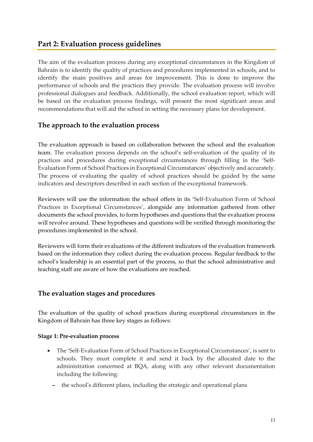## <span id="page-15-0"></span>**Part 2: Evaluation process guidelines**

The aim of the evaluation process during any exceptional circumstances in the Kingdom of Bahrain is to identify the quality of practices and procedures implemented in schools, and to identify the main positives and areas for improvement. This is done to improve the performance of schools and the practices they provide. The evaluation process will involve professional dialogues and feedback. Additionally, the school evaluation report, which will be based on the evaluation process findings, will present the most significant areas and recommendations that will aid the school in setting the necessary plans for development.

## <span id="page-15-1"></span>**The approach to the evaluation process**

The evaluation approach is based on collaboration between the school and the evaluation team. The evaluation process depends on the school's self-evaluation of the quality of its practices and procedures during exceptional circumstances through filling in the 'Self-Evaluation Form of School Practices in Exceptional Circumstances' objectively and accurately. The process of evaluating the quality of school practices should be guided by the same indicators and descriptors described in each section of the exceptional framework.

Reviewers will use the information the school offers in its 'Self-Evaluation Form of School Practices in Exceptional Circumstances', alongside any information gathered from other documents the school provides, to form hypotheses and questions that the evaluation process will revolve around. These hypotheses and questions will be verified through monitoring the procedures implemented in the school.

Reviewers will form their evaluations of the different indicators of the evaluation framework based on the information they collect during the evaluation process. Regular feedback to the school's leadership is an essential part of the process, so that the school administrative and teaching staff are aware of how the evaluations are reached.

## <span id="page-15-2"></span>**The evaluation stages and procedures**

The evaluation of the quality of school practices during exceptional circumstances in the Kingdom of Bahrain has three key stages as follows:

#### <span id="page-15-3"></span>**Stage 1: Pre-evaluation process**

- The 'Self-Evaluation Form of School Practices in Exceptional Circumstances', is sent to schools. They must complete it and send it back by the allocated date to the administration concerned at BQA, along with any other relevant documentation including the following:
	- − the school's different plans, including the strategic and operational plans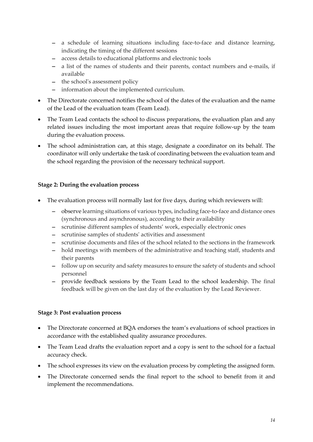- − a schedule of learning situations including face-to-face and distance learning, indicating the timing of the different sessions
- − access details to educational platforms and electronic tools
- − a list of the names of students and their parents, contact numbers and e-mails, if available
- − the school's assessment policy
- − information about the implemented curriculum.
- The Directorate concerned notifies the school of the dates of the evaluation and the name of the Lead of the evaluation team (Team Lead).
- The Team Lead contacts the school to discuss preparations, the evaluation plan and any related issues including the most important areas that require follow-up by the team during the evaluation process.
- The school administration can, at this stage, designate a coordinator on its behalf. The coordinator will only undertake the task of coordinating between the evaluation team and the school regarding the provision of the necessary technical support.

#### <span id="page-16-0"></span>**Stage 2: During the evaluation process**

- The evaluation process will normally last for five days, during which reviewers will:
	- − observe learning situations of various types, including face-to-face and distance ones (synchronous and asynchronous), according to their availability
	- − scrutinise different samples of students' work, especially electronic ones
	- − scrutinise samples of students' activities and assessment
	- − scrutinise documents and files of the school related to the sections in the framework
	- − hold meetings with members of the administrative and teaching staff, students and their parents
	- − follow up on security and safety measures to ensure the safety of students and school personnel
	- provide feedback sessions by the Team Lead to the school leadership. The final feedback will be given on the last day of the evaluation by the Lead Reviewer.

#### <span id="page-16-1"></span>**Stage 3: Post evaluation process**

- The Directorate concerned at BQA endorses the team's evaluations of school practices in accordance with the established quality assurance procedures.
- The Team Lead drafts the evaluation report and a copy is sent to the school for a factual accuracy check.
- The school expresses its view on the evaluation process by completing the assigned form.
- The Directorate concerned sends the final report to the school to benefit from it and implement the recommendations.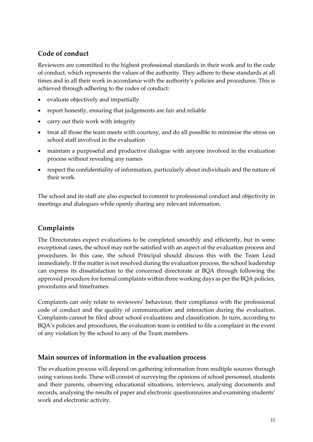## <span id="page-17-0"></span>**Code of conduct**

Reviewers are committed to the highest professional standards in their work and to the code of conduct, which represents the values of the authority. They adhere to these standards at all times and in all their work in accordance with the authority's policies and procedures. This is achieved through adhering to the codes of conduct:

- evaluate objectively and impartially
- report honestly, ensuring that judgements are fair and reliable
- carry out their work with integrity
- treat all those the team meets with courtesy, and do all possible to minimise the stress on school staff involved in the evaluation
- maintain a purposeful and productive dialogue with anyone involved in the evaluation process without revealing any names
- respect the confidentiality of information, particularly about individuals and the nature of their work.

The school and its staff are also expected to commit to professional conduct and objectivity in meetings and dialogues while openly sharing any relevant information.

## <span id="page-17-1"></span>**Complaints**

The Directorates expect evaluations to be completed smoothly and efficiently, but in some exceptional cases, the school may not be satisfied with an aspect of the evaluation process and procedures. In this case, the school Principal should discuss this with the Team Lead immediately. If the matter is not resolved during the evaluation process, the school leadership can express its dissatisfaction to the concerned directorate at BQA through following the approved procedure for formal complaints within three working days as per the BQA policies, procedures and timeframes.

Complaints can only relate to reviewers' behaviour, their compliance with the professional code of conduct and the quality of communication and interaction during the evaluation. Complaints cannot be filed about school evaluations and classification. In turn, according to BQA's policies and procedures, the evaluation team is entitled to file a complaint in the event of any violation by the school to any of the Team members.

## <span id="page-17-2"></span>**Main sources of information in the evaluation process**

The evaluation process will depend on gathering information from multiple sources through using various tools. These will consist of surveying the opinions of school personnel, students and their parents, observing educational situations, interviews, analysing documents and records, analysing the results of paper and electronic questionnaires and examining students' work and electronic activity.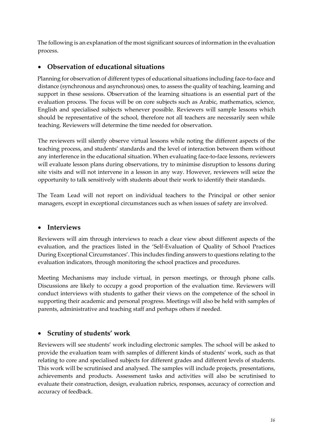The following is an explanation of the most significant sources of information in the evaluation process.

## <span id="page-18-0"></span>• **Observation of educational situations**

Planning for observation of different types of educational situations including face-to-face and distance (synchronous and asynchronous) ones, to assess the quality of teaching, learning and support in these sessions. Observation of the learning situations is an essential part of the evaluation process. The focus will be on core subjects such as Arabic, mathematics, science, English and specialised subjects whenever possible. Reviewers will sample lessons which should be representative of the school, therefore not all teachers are necessarily seen while teaching. Reviewers will determine the time needed for observation.

The reviewers will silently observe virtual lessons while noting the different aspects of the teaching process, and students' standards and the level of interaction between them without any interference in the educational situation. When evaluating face-to-face lessons, reviewers will evaluate lesson plans during observations, try to minimise disruption to lessons during site visits and will not intervene in a lesson in any way. However, reviewers will seize the opportunity to talk sensitively with students about their work to identify their standards.

The Team Lead will not report on individual teachers to the Principal or other senior managers, except in exceptional circumstances such as when issues of safety are involved.

## <span id="page-18-1"></span>• **Interviews**

Reviewers will aim through interviews to reach a clear view about different aspects of the evaluation, and the practices listed in the 'Self-Evaluation of Quality of School Practices During Exceptional Circumstances'. This includes finding answers to questions relating to the evaluation indicators, through monitoring the school practices and procedures.

Meeting Mechanisms may include virtual, in person meetings, or through phone calls. Discussions are likely to occupy a good proportion of the evaluation time. Reviewers will conduct interviews with students to gather their views on the competence of the school in supporting their academic and personal progress. Meetings will also be held with samples of parents, administrative and teaching staff and perhaps others if needed.

## <span id="page-18-2"></span>• **Scrutiny of students' work**

Reviewers will see students' work including electronic samples. The school will be asked to provide the evaluation team with samples of different kinds of students' work, such as that relating to core and specialised subjects for different grades and different levels of students. This work will be scrutinised and analysed. The samples will include projects, presentations, achievements and products. Assessment tasks and activities will also be scrutinised to evaluate their construction, design, evaluation rubrics, responses, accuracy of correction and accuracy of feedback.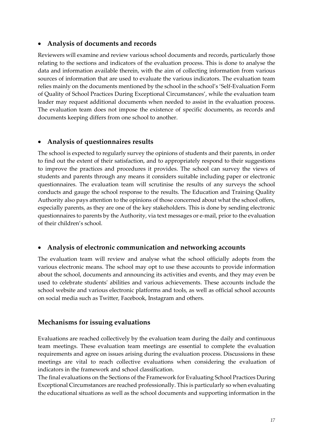#### <span id="page-19-0"></span>• **Analysis of documents and records**

Reviewers will examine and review various school documents and records, particularly those relating to the sections and indicators of the evaluation process. This is done to analyse the data and information available therein, with the aim of collecting information from various sources of information that are used to evaluate the various indicators. The evaluation team relies mainly on the documents mentioned by the school in the school's 'Self-Evaluation Form of Quality of School Practices During Exceptional Circumstances', while the evaluation team leader may request additional documents when needed to assist in the evaluation process. The evaluation team does not impose the existence of specific documents, as records and documents keeping differs from one school to another.

## <span id="page-19-1"></span>• **Analysis of questionnaires results**

The school is expected to regularly survey the opinions of students and their parents, in order to find out the extent of their satisfaction, and to appropriately respond to their suggestions to improve the practices and procedures it provides. The school can survey the views of students and parents through any means it considers suitable including paper or electronic questionnaires. The evaluation team will scrutinise the results of any surveys the school conducts and gauge the school response to the results. The Education and Training Quality Authority also pays attention to the opinions of those concerned about what the school offers, especially parents, as they are one of the key stakeholders. This is done by sending electronic questionnaires to parents by the Authority, via text messages or e-mail, prior to the evaluation of their children's school.

## <span id="page-19-2"></span>• **Analysis of electronic communication and networking accounts**

The evaluation team will review and analyse what the school officially adopts from the various electronic means. The school may opt to use these accounts to provide information about the school, documents and announcing its activities and events, and they may even be used to celebrate students' abilities and various achievements. These accounts include the school website and various electronic platforms and tools, as well as official school accounts on social media such as Twitter, Facebook, Instagram and others.

## <span id="page-19-3"></span>**Mechanisms for issuing evaluations**

Evaluations are reached collectively by the evaluation team during the daily and continuous team meetings. These evaluation team meetings are essential to complete the evaluation requirements and agree on issues arising during the evaluation process. Discussions in these meetings are vital to reach collective evaluations when considering the evaluation of indicators in the framework and school classification.

The final evaluations on the Sections of the Framework for Evaluating School Practices During Exceptional Circumstances are reached professionally. This is particularly so when evaluating the educational situations as well as the school documents and supporting information in the